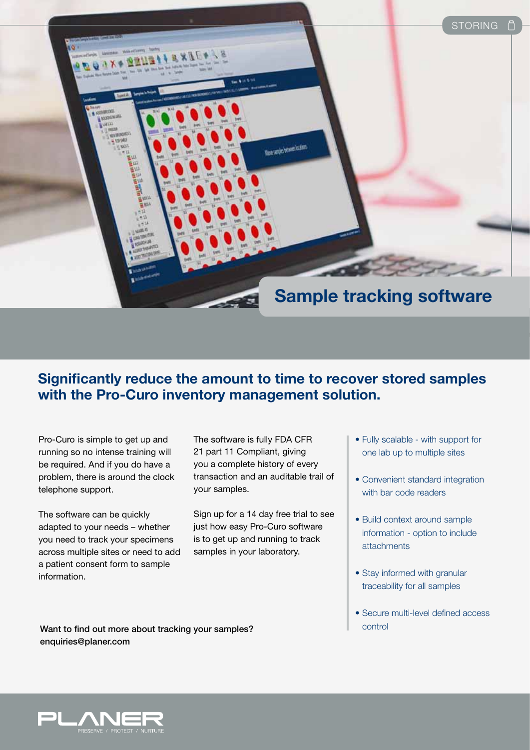

## **Significantly reduce the amount to time to recover stored samples with the Pro-Curo inventory management solution.**

Pro-Curo is simple to get up and running so no intense training will be required. And if you do have a problem, there is around the clock telephone support.

The software can be quickly adapted to your needs – whether you need to track your specimens across multiple sites or need to add a patient consent form to sample information.

The software is fully FDA CFR 21 part 11 Compliant, giving you a complete history of every transaction and an auditable trail of your samples.

Sign up for a 14 day free trial to see just how easy Pro-Curo software is to get up and running to track samples in your laboratory.

- Fully scalable with support for one lab up to multiple sites
- Convenient standard integration with bar code readers
- Build context around sample information - option to include attachments
- Stay informed with granular traceability for all samples
- Secure multi-level defined access

Want to find out more about tracking your samples? enquiries@planer.com